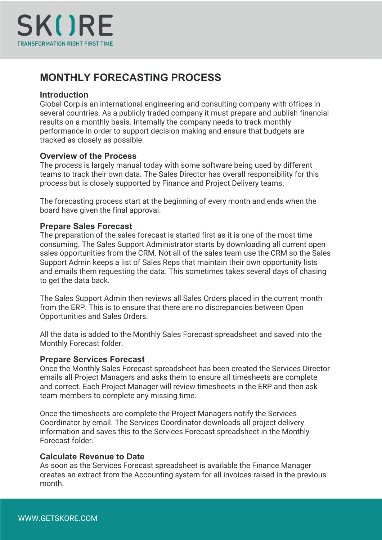

# **MONTHLY FORECASTING PROCESS**

## **Introduction**

Global Corp is an international engineering and consulting company with offices in several countries. As a publicly traded company it must prepare and publish financial results on a monthly basis. Internally the company needs to track monthly performance in order to support decision making and ensure that budgets are tracked as closely as possible.

## **Overview of the Process**

The process is largely manual today with some software being used by different teams to track their own data. The Sales Director has overall responsibility for this process but is closely supported by Finance and Project Delivery teams.

The forecasting process start at the beginning of every month and ends when the board have given the final approval.

## **Prepare Sales Forecast**

The preparation of the sales forecast is started first as it is one of the most time consuming. The Sales Support Administrator starts by downloading all current open sales opportunities from the CRM. Not all of the sales team use the CRM so the Sales Support Admin keeps a list of Sales Reps that maintain their own opportunity lists and emails them requesting the data. This sometimes takes several days of chasing to get the data back.

The Sales Support Admin then reviews all Sales Orders placed in the current month from the ERP. This is to ensure that there are no discrepancies between Open Opportunities and Sales Orders.

All the data is added to the Monthly Sales Forecast spreadsheet and saved into the Monthly Forecast folder.

## **Prepare Services Forecast**

Once the Monthly Sales Forecast spreadsheet has been created the Services Director emails all Project Managers and asks them to ensure all timesheets are complete and correct. Each Project Manager will review timesheets in the ERP and then ask team members to complete any missing time.

Once the timesheets are complete the Project Managers notify the Services Coordinator by email. The Services Coordinator downloads all project delivery information and saves this to the Services Forecast spreadsheet in the Monthly Forecast folder.

## **Calculate Revenue to Date**

As soon as the Services Forecast spreadsheet is available the Finance Manager creates an extract from the Accounting system for all invoices raised in the previous month.